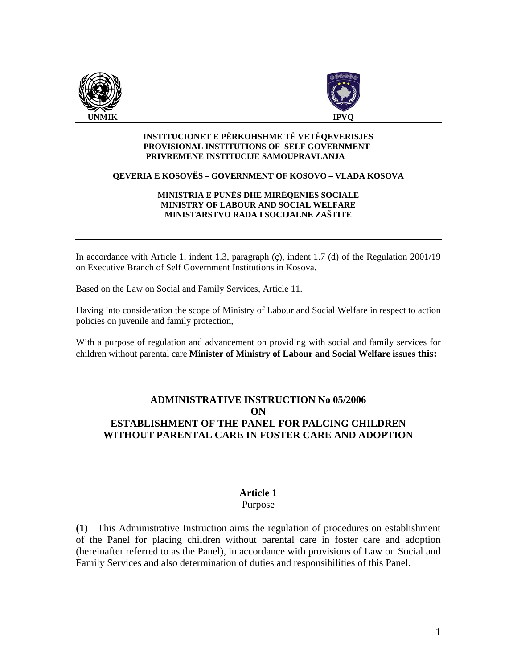



#### **INSTITUCIONET E PËRKOHSHME TË VETËQEVERISJES PROVISIONAL INSTITUTIONS OF SELF GOVERNMENT PRIVREMENE INSTITUCIJE SAMOUPRAVLANJA**

#### **QEVERIA E KOSOVËS – GOVERNMENT OF KOSOVO – VLADA KOSOVA**

#### **MINISTRIA E PUNËS DHE MIRËQENIES SOCIALE MINISTRY OF LABOUR AND SOCIAL WELFARE MINISTARSTVO RADA I SOCIJALNE ZAŠTITE**

In accordance with Article 1, indent 1.3, paragraph (ç), indent 1.7 (d) of the Regulation 2001/19 on Executive Branch of Self Government Institutions in Kosova.

Based on the Law on Social and Family Services, Article 11.

Having into consideration the scope of Ministry of Labour and Social Welfare in respect to action policies on juvenile and family protection,

With a purpose of regulation and advancement on providing with social and family services for children without parental care **Minister of Ministry of Labour and Social Welfare issues this:** 

### **ADMINISTRATIVE INSTRUCTION No 05/2006 ON ESTABLISHMENT OF THE PANEL FOR PALCING CHILDREN WITHOUT PARENTAL CARE IN FOSTER CARE AND ADOPTION**

# **Article 1**

#### Purpose

**(1)** This Administrative Instruction aims the regulation of procedures on establishment of the Panel for placing children without parental care in foster care and adoption (hereinafter referred to as the Panel), in accordance with provisions of Law on Social and Family Services and also determination of duties and responsibilities of this Panel.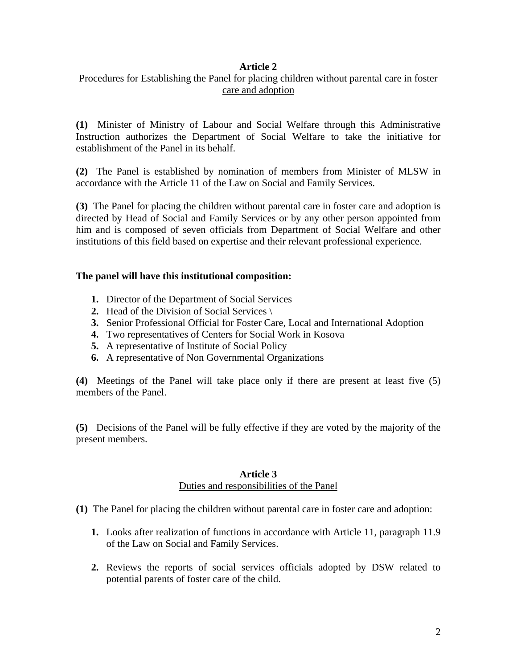### **Article 2**

## Procedures for Establishing the Panel for placing children without parental care in foster care and adoption

**(1)** Minister of Ministry of Labour and Social Welfare through this Administrative Instruction authorizes the Department of Social Welfare to take the initiative for establishment of the Panel in its behalf.

**(2)** The Panel is established by nomination of members from Minister of MLSW in accordance with the Article 11 of the Law on Social and Family Services.

**(3)** The Panel for placing the children without parental care in foster care and adoption is directed by Head of Social and Family Services or by any other person appointed from him and is composed of seven officials from Department of Social Welfare and other institutions of this field based on expertise and their relevant professional experience.

#### **The panel will have this institutional composition:**

- **1.** Director of the Department of Social Services
- **2.** Head of the Division of Social Services \
- **3.** Senior Professional Official for Foster Care, Local and International Adoption
- **4.** Two representatives of Centers for Social Work in Kosova
- **5.** A representative of Institute of Social Policy
- **6.** A representative of Non Governmental Organizations

**(4)** Meetings of the Panel will take place only if there are present at least five (5) members of the Panel.

**(5)** Decisions of the Panel will be fully effective if they are voted by the majority of the present members.

#### **Article 3**  Duties and responsibilities of the Panel

- **(1)** The Panel for placing the children without parental care in foster care and adoption:
	- **1.** Looks after realization of functions in accordance with Article 11, paragraph 11.9 of the Law on Social and Family Services.
	- **2.** Reviews the reports of social services officials adopted by DSW related to potential parents of foster care of the child.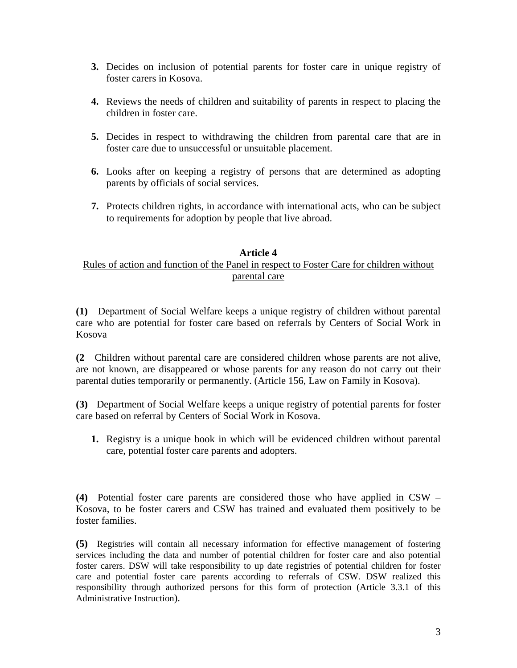- **3.** Decides on inclusion of potential parents for foster care in unique registry of foster carers in Kosova.
- **4.** Reviews the needs of children and suitability of parents in respect to placing the children in foster care.
- **5.** Decides in respect to withdrawing the children from parental care that are in foster care due to unsuccessful or unsuitable placement.
- **6.** Looks after on keeping a registry of persons that are determined as adopting parents by officials of social services.
- **7.** Protects children rights, in accordance with international acts, who can be subject to requirements for adoption by people that live abroad.

#### **Article 4**

### Rules of action and function of the Panel in respect to Foster Care for children without parental care

**(1)** Department of Social Welfare keeps a unique registry of children without parental care who are potential for foster care based on referrals by Centers of Social Work in Kosova

**(2** Children without parental care are considered children whose parents are not alive, are not known, are disappeared or whose parents for any reason do not carry out their parental duties temporarily or permanently. (Article 156, Law on Family in Kosova).

**(3)** Department of Social Welfare keeps a unique registry of potential parents for foster care based on referral by Centers of Social Work in Kosova.

**1.** Registry is a unique book in which will be evidenced children without parental care, potential foster care parents and adopters.

**(4)** Potential foster care parents are considered those who have applied in CSW – Kosova, to be foster carers and CSW has trained and evaluated them positively to be foster families.

**(5)** Registries will contain all necessary information for effective management of fostering services including the data and number of potential children for foster care and also potential foster carers. DSW will take responsibility to up date registries of potential children for foster care and potential foster care parents according to referrals of CSW. DSW realized this responsibility through authorized persons for this form of protection (Article 3.3.1 of this Administrative Instruction).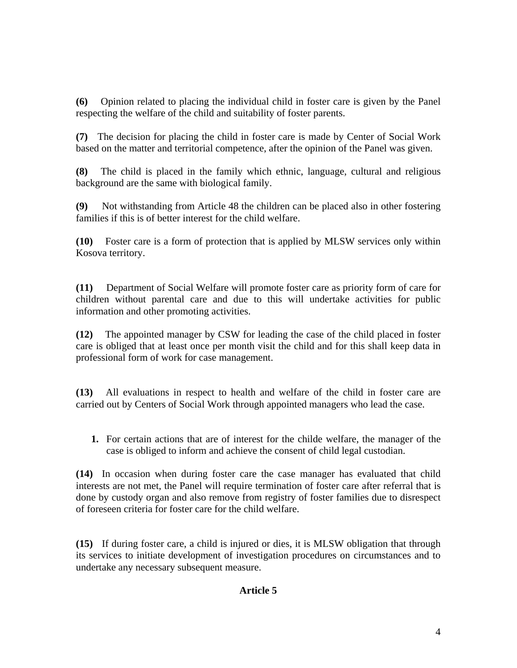**(6)** Opinion related to placing the individual child in foster care is given by the Panel respecting the welfare of the child and suitability of foster parents.

**(7)** The decision for placing the child in foster care is made by Center of Social Work based on the matter and territorial competence, after the opinion of the Panel was given.

**(8)** The child is placed in the family which ethnic, language, cultural and religious background are the same with biological family.

**(9)** Not withstanding from Article 48 the children can be placed also in other fostering families if this is of better interest for the child welfare.

**(10)** Foster care is a form of protection that is applied by MLSW services only within Kosova territory.

**(11)** Department of Social Welfare will promote foster care as priority form of care for children without parental care and due to this will undertake activities for public information and other promoting activities.

**(12)** The appointed manager by CSW for leading the case of the child placed in foster care is obliged that at least once per month visit the child and for this shall keep data in professional form of work for case management.

**(13)** All evaluations in respect to health and welfare of the child in foster care are carried out by Centers of Social Work through appointed managers who lead the case.

**1.** For certain actions that are of interest for the childe welfare, the manager of the case is obliged to inform and achieve the consent of child legal custodian.

**(14)** In occasion when during foster care the case manager has evaluated that child interests are not met, the Panel will require termination of foster care after referral that is done by custody organ and also remove from registry of foster families due to disrespect of foreseen criteria for foster care for the child welfare.

**(15)** If during foster care, a child is injured or dies, it is MLSW obligation that through its services to initiate development of investigation procedures on circumstances and to undertake any necessary subsequent measure.

## **Article 5**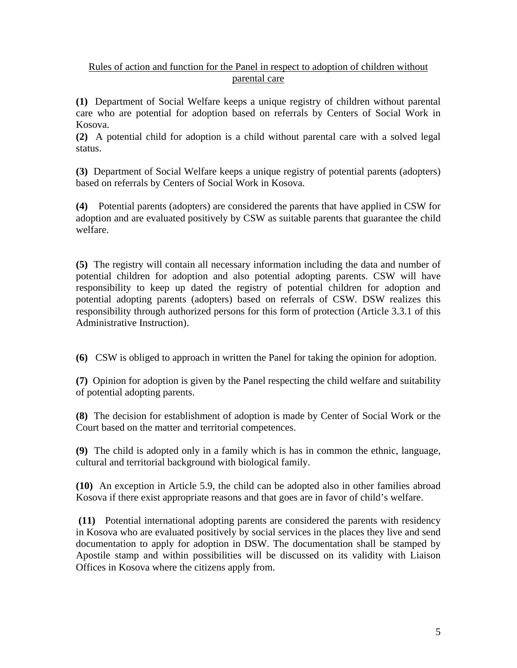## Rules of action and function for the Panel in respect to adoption of children without parental care

**(1)** Department of Social Welfare keeps a unique registry of children without parental care who are potential for adoption based on referrals by Centers of Social Work in Kosova.

**(2)** A potential child for adoption is a child without parental care with a solved legal status.

**(3)** Department of Social Welfare keeps a unique registry of potential parents (adopters) based on referrals by Centers of Social Work in Kosova.

**(4)** Potential parents (adopters) are considered the parents that have applied in CSW for adoption and are evaluated positively by CSW as suitable parents that guarantee the child welfare.

**(5)** The registry will contain all necessary information including the data and number of potential children for adoption and also potential adopting parents. CSW will have responsibility to keep up dated the registry of potential children for adoption and potential adopting parents (adopters) based on referrals of CSW. DSW realizes this responsibility through authorized persons for this form of protection (Article 3.3.1 of this Administrative Instruction).

**(6)** CSW is obliged to approach in written the Panel for taking the opinion for adoption.

**(7)** Opinion for adoption is given by the Panel respecting the child welfare and suitability of potential adopting parents.

**(8)** The decision for establishment of adoption is made by Center of Social Work or the Court based on the matter and territorial competences.

**(9)** The child is adopted only in a family which is has in common the ethnic, language, cultural and territorial background with biological family.

**(10)** An exception in Article 5.9, the child can be adopted also in other families abroad Kosova if there exist appropriate reasons and that goes are in favor of child's welfare.

 **(11)** Potential international adopting parents are considered the parents with residency in Kosova who are evaluated positively by social services in the places they live and send documentation to apply for adoption in DSW. The documentation shall be stamped by Apostile stamp and within possibilities will be discussed on its validity with Liaison Offices in Kosova where the citizens apply from.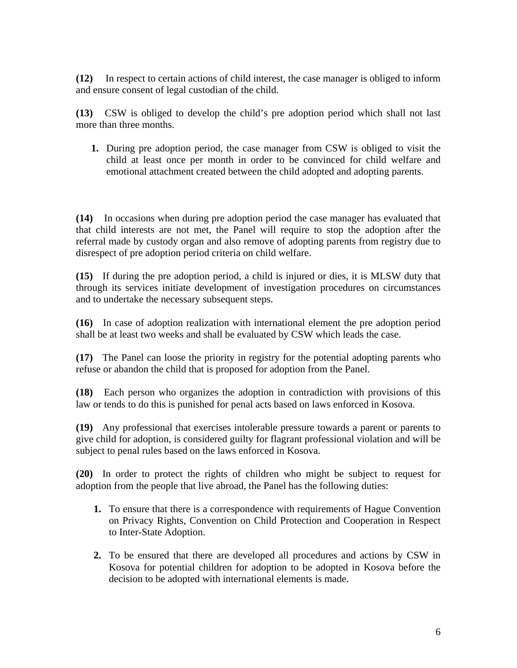**(12)** In respect to certain actions of child interest, the case manager is obliged to inform and ensure consent of legal custodian of the child.

**(13)** CSW is obliged to develop the child's pre adoption period which shall not last more than three months.

**1.** During pre adoption period, the case manager from CSW is obliged to visit the child at least once per month in order to be convinced for child welfare and emotional attachment created between the child adopted and adopting parents.

**(14)** In occasions when during pre adoption period the case manager has evaluated that that child interests are not met, the Panel will require to stop the adoption after the referral made by custody organ and also remove of adopting parents from registry due to disrespect of pre adoption period criteria on child welfare.

**(15)** If during the pre adoption period, a child is injured or dies, it is MLSW duty that through its services initiate development of investigation procedures on circumstances and to undertake the necessary subsequent steps.

**(16)** In case of adoption realization with international element the pre adoption period shall be at least two weeks and shall be evaluated by CSW which leads the case.

**(17)** The Panel can loose the priority in registry for the potential adopting parents who refuse or abandon the child that is proposed for adoption from the Panel.

**(18)** Each person who organizes the adoption in contradiction with provisions of this law or tends to do this is punished for penal acts based on laws enforced in Kosova.

**(19)** Any professional that exercises intolerable pressure towards a parent or parents to give child for adoption, is considered guilty for flagrant professional violation and will be subject to penal rules based on the laws enforced in Kosova.

**(20)** In order to protect the rights of children who might be subject to request for adoption from the people that live abroad, the Panel has the following duties:

- **1.** To ensure that there is a correspondence with requirements of Hague Convention on Privacy Rights, Convention on Child Protection and Cooperation in Respect to Inter-State Adoption.
- **2.** To be ensured that there are developed all procedures and actions by CSW in Kosova for potential children for adoption to be adopted in Kosova before the decision to be adopted with international elements is made.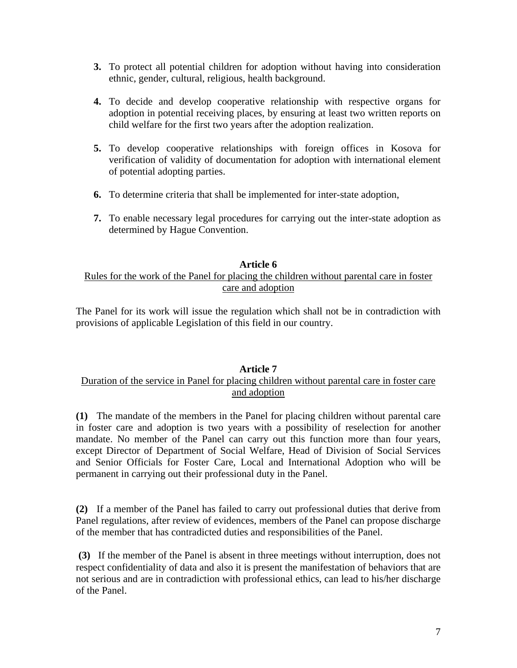- **3.** To protect all potential children for adoption without having into consideration ethnic, gender, cultural, religious, health background.
- **4.** To decide and develop cooperative relationship with respective organs for adoption in potential receiving places, by ensuring at least two written reports on child welfare for the first two years after the adoption realization.
- **5.** To develop cooperative relationships with foreign offices in Kosova for verification of validity of documentation for adoption with international element of potential adopting parties.
- **6.** To determine criteria that shall be implemented for inter-state adoption,
- **7.** To enable necessary legal procedures for carrying out the inter-state adoption as determined by Hague Convention.

#### **Article 6**

#### Rules for the work of the Panel for placing the children without parental care in foster care and adoption

The Panel for its work will issue the regulation which shall not be in contradiction with provisions of applicable Legislation of this field in our country.

## **Article 7**

#### Duration of the service in Panel for placing children without parental care in foster care and adoption

**(1)** The mandate of the members in the Panel for placing children without parental care in foster care and adoption is two years with a possibility of reselection for another mandate. No member of the Panel can carry out this function more than four years, except Director of Department of Social Welfare, Head of Division of Social Services and Senior Officials for Foster Care, Local and International Adoption who will be permanent in carrying out their professional duty in the Panel.

**(2)** If a member of the Panel has failed to carry out professional duties that derive from Panel regulations, after review of evidences, members of the Panel can propose discharge of the member that has contradicted duties and responsibilities of the Panel.

 **(3)** If the member of the Panel is absent in three meetings without interruption, does not respect confidentiality of data and also it is present the manifestation of behaviors that are not serious and are in contradiction with professional ethics, can lead to his/her discharge of the Panel.